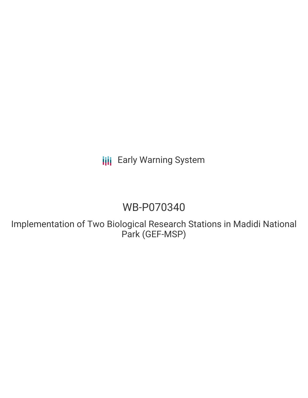**III** Early Warning System

# WB-P070340

Implementation of Two Biological Research Stations in Madidi National Park (GEF-MSP)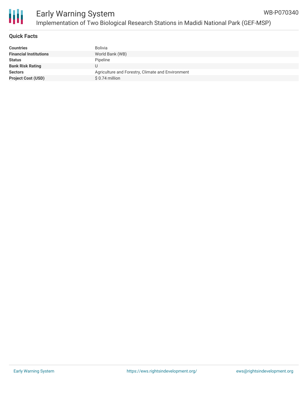

### **Quick Facts**

| <b>Countries</b>              | <b>Bolivia</b>                                    |
|-------------------------------|---------------------------------------------------|
| <b>Financial Institutions</b> | World Bank (WB)                                   |
| <b>Status</b>                 | Pipeline                                          |
| <b>Bank Risk Rating</b>       | U                                                 |
| <b>Sectors</b>                | Agriculture and Forestry, Climate and Environment |
| <b>Project Cost (USD)</b>     | $$0.74$ million                                   |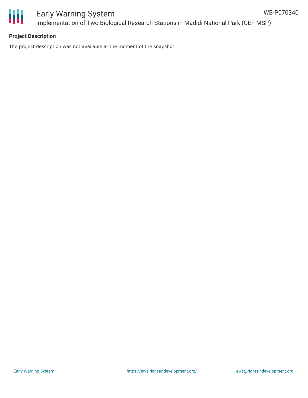

## **Project Description**

The project description was not available at the moment of the snapshot.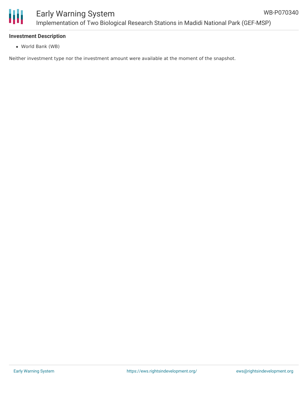

#### **Investment Description**

World Bank (WB)

Neither investment type nor the investment amount were available at the moment of the snapshot.